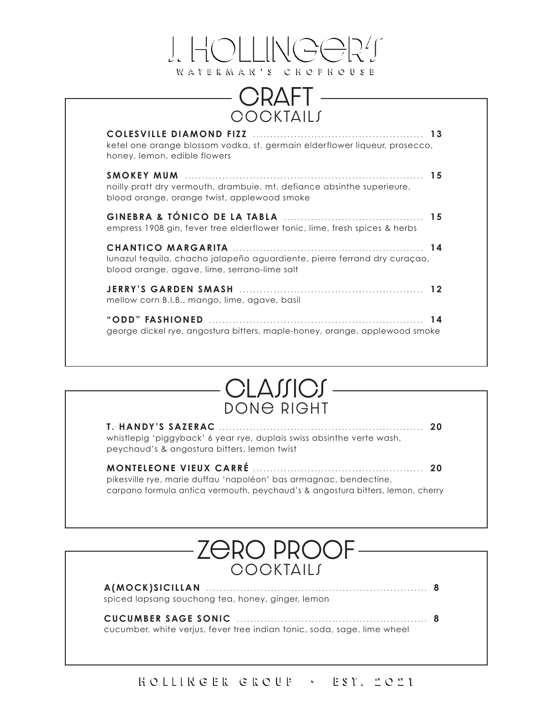

#### **CRAFT COCKTAILS**

| ketel one orange blossom vodka, st. germain elderflower liqueur, prosecco,<br>honey, lemon, edible flowers                |  |
|---------------------------------------------------------------------------------------------------------------------------|--|
| noilly pratt dry vermouth, drambuie, mt. defiance absinthe superieure,<br>blood orange, orange twist, applewood smoke     |  |
| empress 1908 gin, fever tree elderflower tonic, lime, fresh spices & herbs                                                |  |
| lunazul tequila, chacho jalapeño aguardiente, pierre ferrand dry curaçao,<br>blood orange, agave, lime, serrano-lime salt |  |
| mellow corn B.I.B., mango, lime, agave, basil                                                                             |  |
| george dickel rye, angostura bitters, maple-honey, orange, applewood smoke                                                |  |



| whistlepig 'piggyback' 6 year rye, duplais swiss absinthe verte wash,<br>peychaud's & angostura bitters, lemon twist |  |
|----------------------------------------------------------------------------------------------------------------------|--|
| pikesville rye, marie duffau 'napoléon' bas armagnac, bendectine,                                                    |  |

carpano formula antica vermouth, peychaud's & angostura bitters, lemon, cherry

#### zero proof **COCKTAILS**

**A(MOCK)SICILLAN ................................................................. 8** spiced lapsang souchong tea, honey, ginger, lemon

**CUCUMBER SAGE SONIC ........................................................ 8** cucumber, white verjus, fever tree indian tonic, soda, sage, lime wheel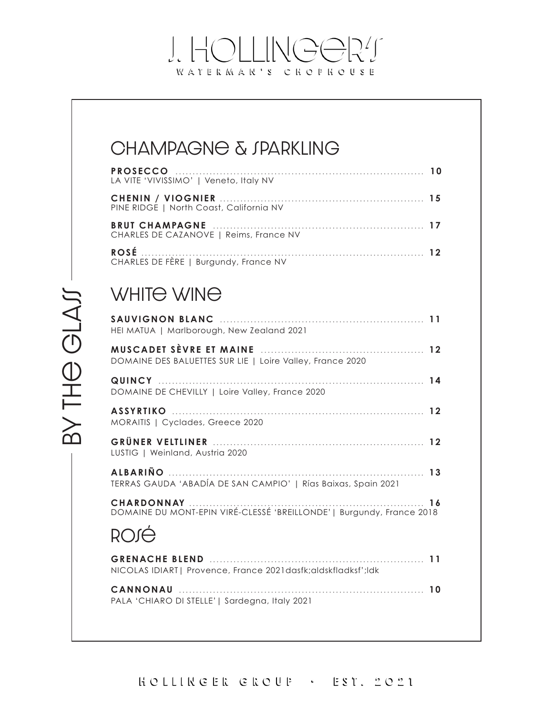#### J. HOLLINGORT WATERMAR'S CHOPHOUSE

| JIVIE  | CHAMPAGNE & JPARKLING<br><b>PROSECCO</b><br>LA VITE 'VIVISSIMO'   Veneto, Italy NV<br>PINE RIDGE   North Coast, California NV<br>CHARLES DE CAZANOVE   Reims, France NV<br>CHARLES DE FÈRE   Burgundy, France NV<br>WHITE WINE<br>SAUVIGNON BLANC<br>HEI MATUA   Marlborough, New Zealand 2021 |
|--------|------------------------------------------------------------------------------------------------------------------------------------------------------------------------------------------------------------------------------------------------------------------------------------------------|
|        | DOMAINE DES BALUETTES SUR LIE   Loire Valley, France 2020                                                                                                                                                                                                                                      |
| ー<br>一 | DOMAINE DE CHEVILLY   Loire Valley, France 2020<br>MORAITIS   Cyclades, Greece 2020                                                                                                                                                                                                            |
|        | LUSTIG   Weinland, Austria 2020                                                                                                                                                                                                                                                                |
|        | TERRAS GAUDA 'ABADÍA DE SAN CAMPIO'   Rías Baixas, Spain 2021                                                                                                                                                                                                                                  |
|        | CHARDONNAY<br>- 16<br>DOMAINE DU MONT-EPIN VIRÉ-CLESSÉ 'BREILLONDE'   Burgundy, France 2018                                                                                                                                                                                                    |
|        |                                                                                                                                                                                                                                                                                                |
|        | NICOLAS IDIART   Provence, France 2021 dasfk; aldskfladksf'; ldk                                                                                                                                                                                                                               |
|        | CANNONAU<br>PALA 'CHIARO DI STELLE'   Sardegna, Italy 2021                                                                                                                                                                                                                                     |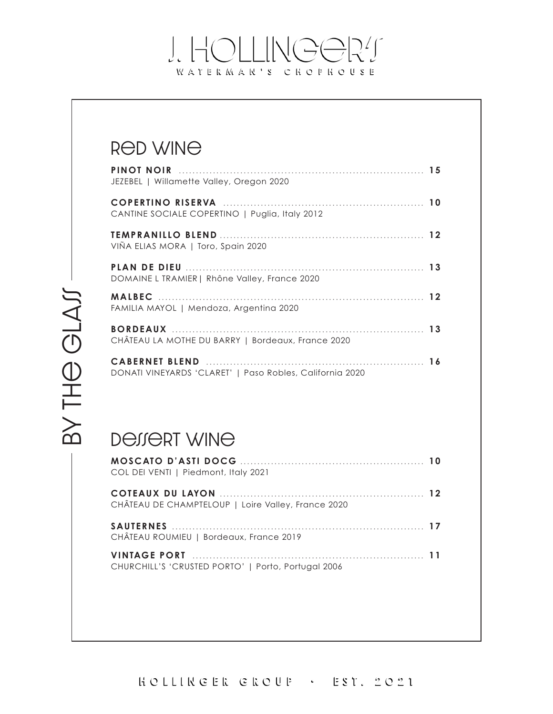#### J. HOLLINGOR! WATERMAR'S CHOFHOUSE

#### Red wine

| JEZEBEL   Willamette Valley, Oregon 2020                 |  |
|----------------------------------------------------------|--|
| CANTINE SOCIALE COPERTINO   Puglia, Italy 2012           |  |
| VIÑA ELIAS MORA   Toro, Spain 2020                       |  |
| DOMAINE L TRAMIER   Rhône Valley, France 2020            |  |
| FAMILIA MAYOL   Mendoza, Argentina 2020                  |  |
| CHÂTEAU LA MOTHE DU BARRY   Bordeaux, France 2020        |  |
| DONATI VINEYARDS 'CLARET'   Paso Robles, California 2020 |  |

## BY THE GLAJ BY TH<del>O</del> GLAJ

#### Dessert wine

| COL DEI VENTI   Piedmont, Italy 2021               |  |
|----------------------------------------------------|--|
| CHÂTEAU DE CHAMPTELOUP   Loire Valley, France 2020 |  |
| CHÂTEAU ROUMIEU   Bordeaux, France 2019            |  |
| CHURCHILL'S 'CRUSTED PORTO'   Porto, Portugal 2006 |  |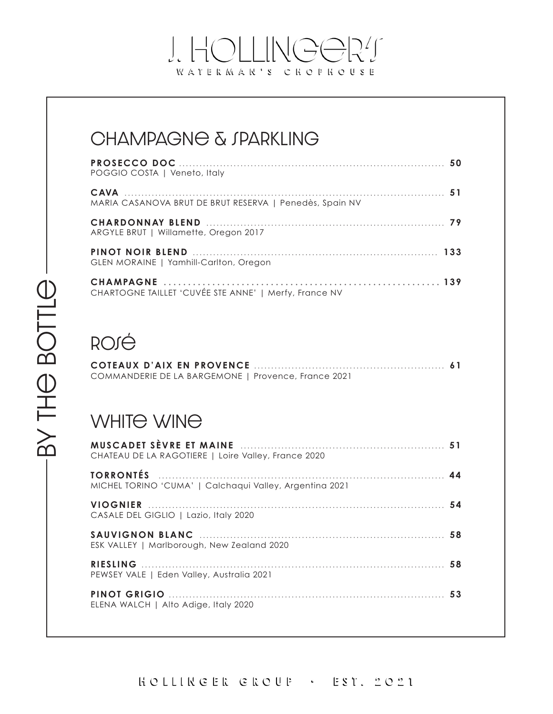#### J. HOLLINGOR! WATERMAR'S CHOPHOUSE

#### CHAMPAGNE & JPARKLING

| POGGIO COSTA   Veneto, Italy                            |  |
|---------------------------------------------------------|--|
| MARIA CASANOVA BRUT DE BRUT RESERVA   Penedès, Spain NV |  |
| ARGYLE BRUT   Willamette, Oregon 2017                   |  |
| GLEN MORAINE   Yamhill-Carlton, Oregon                  |  |
| CHARTOGNE TAILLET 'CUVÉE STE ANNE'   Merfy, France NV   |  |

### **ROJÉ**

| COMMANDERIE DE LA BARGEMONE   Provence, France 2021 |  |
|-----------------------------------------------------|--|

#### WHITE WINE

| CHATEAU DE LA RAGOTIERE   Loire Valley, France 2020     |  |
|---------------------------------------------------------|--|
| MICHEL TORINO 'CUMA'   Calchagui Valley, Argentina 2021 |  |
| CASALE DEL GIGLIO   Lazio, Italy 2020                   |  |
| ESK VALLEY   Marlborough, New Zealand 2020              |  |
| PEWSEY VALE   Eden Valley, Australia 2021               |  |
| ELENA WALCH   Alto Adige, Italy 2020                    |  |

HOLLINGER GROUP · EST. 2021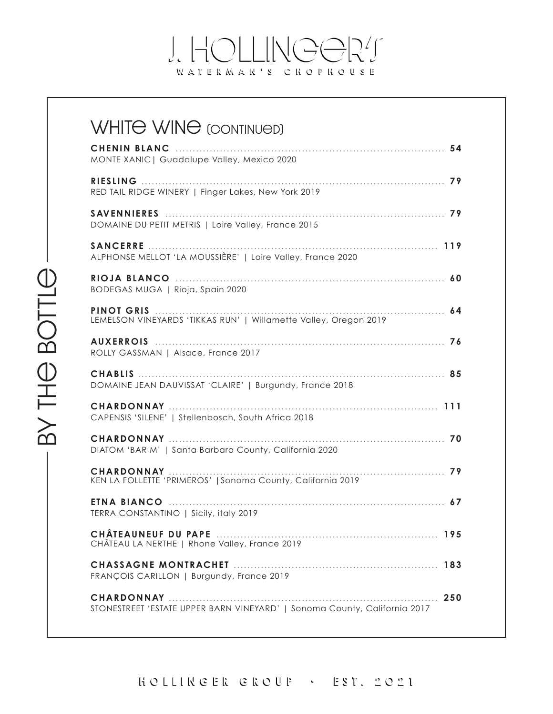#### J. HOLLINGOR! WATERMAR'S CHOPHOUSE

| <b>WHITE WINE (CONTINUED)</b>                                             |     |
|---------------------------------------------------------------------------|-----|
| MONTE XANIC   Guadalupe Valley, Mexico 2020                               |     |
| RED TAIL RIDGE WINERY   Finger Lakes, New York 2019                       |     |
| DOMAINE DU PETIT METRIS   Loire Valley, France 2015                       |     |
| ALPHONSE MELLOT 'LA MOUSSIÈRE'   Loire Valley, France 2020                |     |
| BODEGAS MUGA   Rioja, Spain 2020                                          |     |
| LEMELSON VINEYARDS 'TIKKAS RUN'   Willamette Valley, Oregon 2019          |     |
| ROLLY GASSMAN   Alsace, France 2017                                       |     |
| DOMAINE JEAN DAUVISSAT 'CLAIRE'   Burgundy, France 2018                   |     |
| CAPENSIS 'SILENE'   Stellenbosch, South Africa 2018                       |     |
| DIATOM 'BAR M'   Santa Barbara County, California 2020                    |     |
| KEN LA FOLLETTE 'PRIMEROS'   Sonoma County, California 2019               |     |
| TERRA CONSTANTINO   Sicily, italy 2019                                    |     |
| CHÂTEAU LA NERTHE   Rhone Valley, France 2019                             |     |
|                                                                           |     |
| FRANÇOIS CARILLON   Burgundy, France 2019                                 | 250 |
| STONESTREET 'ESTATE UPPER BARN VINEYARD'   Sonoma County, California 2017 |     |

HOLLINGER GROUP · EST. 2021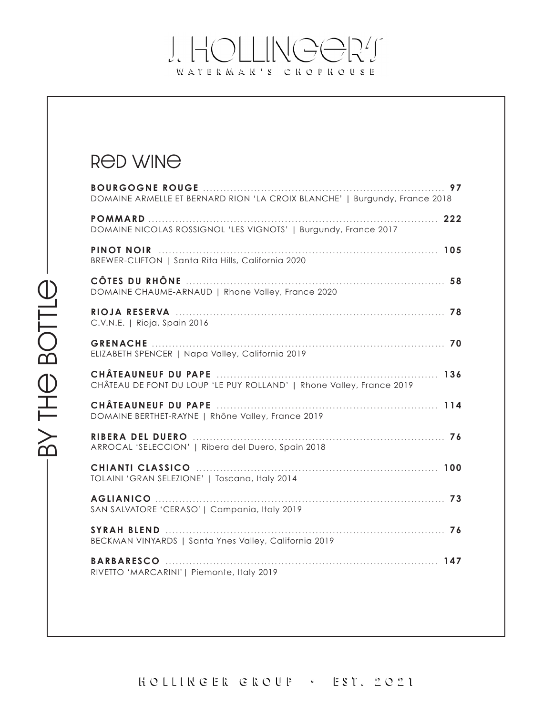#### J. HOLLINGOR! WATERMAR'S CHOPHOUSE

#### Red wine

| DOMAINE ARMELLE ET BERNARD RION 'LA CROIX BLANCHE'   Burgundy, France 2018 |
|----------------------------------------------------------------------------|
| DOMAINE NICOLAS ROSSIGNOL 'LES VIGNOTS'   Burgundy, France 2017            |
| BREWER-CLIFTON   Santa Rita Hills, California 2020                         |
| DOMAINE CHAUME-ARNAUD   Rhone Valley, France 2020                          |
| C.V.N.E.   Rioja, Spain 2016                                               |
| ELIZABETH SPENCER   Napa Valley, California 2019                           |
| CHÂTEAU DE FONT DU LOUP 'LE PUY ROLLAND'   Rhone Valley, France 2019       |
| DOMAINE BERTHET-RAYNE   Rhône Valley, France 2019                          |
| ARROCAL 'SELECCION'   Ribera del Duero, Spain 2018                         |
| TOLAINI 'GRAN SELEZIONE'   Toscana, Italy 2014                             |
| SAN SALVATORE 'CERASO'   Campania, Italy 2019                              |
| BECKMAN VINYARDS   Santa Ynes Valley, California 2019                      |
| RIVETTO 'MARCARINI'   Piemonte, Italy 2019                                 |
|                                                                            |

HOLLINGER GROUP · EST. 2021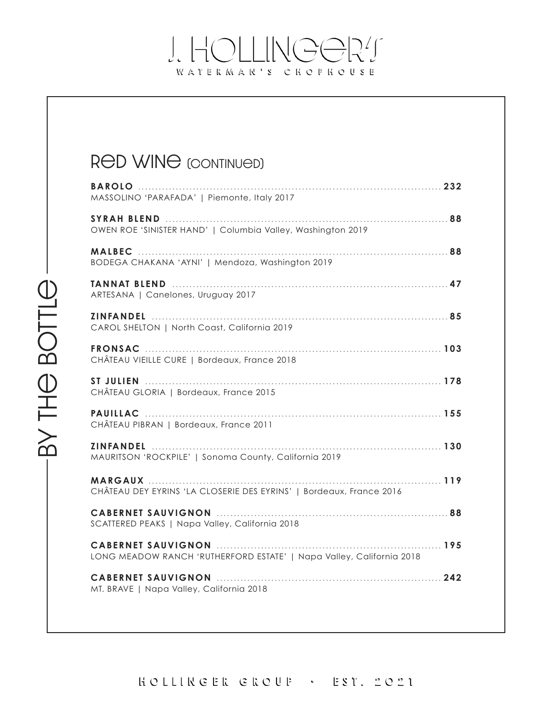#### J. HOLLINGOR! WATERMAR'S CHOFHOUSE

RED WINE (CONTINUED)

# by the bottle

| MASSOLINO 'PARAFADA'   Piemonte, Italy 2017                          |
|----------------------------------------------------------------------|
| OWEN ROE 'SINISTER HAND'   Columbia Valley, Washington 2019          |
| BODEGA CHAKANA 'AYNI'   Mendoza, Washington 2019                     |
| ARTESANA   Canelones, Uruguay 2017                                   |
| CAROL SHELTON   North Coast, California 2019                         |
| CHÂTEAU VIEILLE CURE   Bordeaux, France 2018                         |
| CHÂTEAU GLORIA   Bordeaux, France 2015                               |
| CHÂTEAU PIBRAN   Bordeaux, France 2011                               |
| MAURITSON 'ROCKPILE'   Sonoma County, California 2019                |
| CHÂTEAU DEY EYRINS 'LA CLOSERIE DES EYRINS'   Bordeaux, France 2016  |
| SCATTERED PEAKS   Napa Valley, California 2018                       |
| LONG MEADOW RANCH 'RUTHERFORD ESTATE'   Napa Valley, California 2018 |
| MT. BRAVE   Napa Valley, California 2018                             |

BY THE BOTTLE-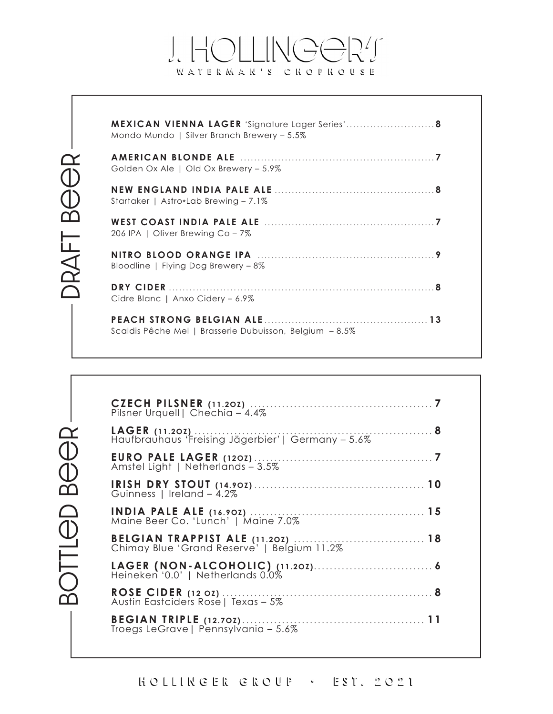#### $\lfloor - \rfloor$  $NGEZT$  $\int_{\mathcal{C}}$ WATERMAR'S CHOPHOUSE

BOTTLED BEER

| <b>MEXICAN VIENNA LAGER</b> 'Signature Lager Series' 8<br>Mondo Mundo   Silver Branch Brewery – 5.5% |  |
|------------------------------------------------------------------------------------------------------|--|
| Golden Ox Ale   Old Ox Brewery - 5.9%                                                                |  |
| Startaker   Astro*Lab Brewing - 7.1%                                                                 |  |
| 206 IPA   Oliver Brewing Co – 7%                                                                     |  |
| Bloodline   Flying Dog Brewery - 8%                                                                  |  |
| Cidre Blanc   Anxo Cidery - 6.9%                                                                     |  |
| Scaldis Pêche Mel   Brasserie Dubuisson, Belgium - 8.5%                                              |  |

| Pilsner Urquell   Chechia - 4.4%                   |  |
|----------------------------------------------------|--|
| Haufbrauhaus 'Freising Jägerbier'   Germany - 5.6% |  |
| Amstel Light   Netherlands - 3.5%                  |  |
| Guinness   Ireland - 4.2%                          |  |
|                                                    |  |
|                                                    |  |
| Heineken '0.0'   Netherlands 0.0%                  |  |
| Austin Eastciders Rose   Texas - 5%                |  |
| Troegs LeGrave   Pennsylvania - 5.6%               |  |

HOLLINGER GROUP  $EST. 2021$  $\mathcal{L}^{\mathcal{L}}$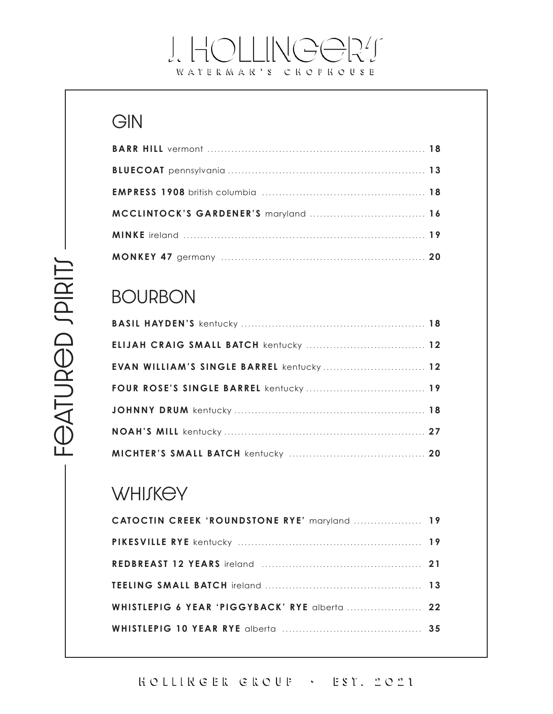#### J. HOLLINGOR! WATERMAR'S CHOFHOUSE

#### GIN

#### **BOURBON**

| EVAN WILLIAM'S SINGLE BARREL kentucky 12 |  |
|------------------------------------------|--|
|                                          |  |
|                                          |  |
|                                          |  |
|                                          |  |

#### WHIJKEY

| CATOCTIN CREEK 'ROUNDSTONE RYE' maryland  19  |  |
|-----------------------------------------------|--|
|                                               |  |
|                                               |  |
|                                               |  |
| WHISTLEPIG 6 YEAR 'PIGGYBACK' RYE alberta  22 |  |
|                                               |  |